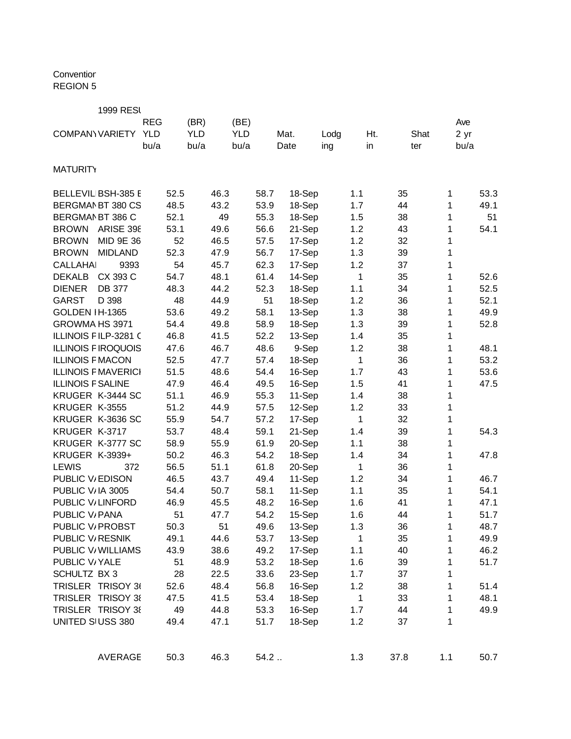## Conventior REGION 5

| <b>REG</b><br>(BR)<br>(BE)<br>Ave<br><b>YLD</b><br><b>YLD</b><br><b>YLD</b><br><b>COMPANY VARIETY</b><br>Mat.<br>Shat<br>2 yr<br>Lodg<br>Ht.<br>bu/a<br>bu/a<br>bu/a<br>Date<br>in<br>ing<br>bu/a<br>ter<br><b>MATURITY</b><br>BELLEVIL BSH-385 E<br>52.5<br>46.3<br>58.7<br>18-Sep<br>53.3<br>1.1<br>35<br>1<br>48.5<br>BERGMAN BT 380 CS<br>43.2<br>53.9<br>18-Sep<br>1.7<br>44<br>1<br>49.1<br>52.1<br>55.3<br>BERGMAN BT 386 C<br>49<br>18-Sep<br>1.5<br>38<br>51<br>1<br>53.1<br>56.6<br><b>BROWN</b><br><b>ARISE 398</b><br>49.6<br>21-Sep<br>1.2<br>43<br>54.1<br>1<br><b>BROWN</b><br>MID 9E 36<br>52<br>46.5<br>57.5<br>17-Sep<br>1.2<br>32<br>1<br>52.3<br>56.7<br>17-Sep<br>1.3<br><b>BROWN</b><br><b>MIDLAND</b><br>47.9<br>39<br>1<br>54<br>62.3<br>17-Sep<br>1.2<br><b>CALLAHAI</b><br>9393<br>45.7<br>37<br>1<br><b>DEKALB</b><br>CX 393 C<br>54.7<br>48.1<br>1<br>61.4<br>14-Sep<br>35<br>1<br>52.6<br><b>DB 377</b><br>44.2<br>52.5<br><b>DIENER</b><br>48.3<br>52.3<br>18-Sep<br>1.1<br>34<br>1<br>D 398<br>48<br>51<br>52.1<br><b>GARST</b><br>44.9<br>18-Sep<br>1.2<br>36<br>1<br>53.6<br>58.1<br>GOLDEN IH-1365<br>49.2<br>13-Sep<br>1.3<br>1<br>49.9<br>38<br>GROWMA HS 3971<br>54.4<br>49.8<br>58.9<br>18-Sep<br>1.3<br>39<br>52.8<br>1<br>46.8<br>52.2<br>ILLINOIS FILP-3281 (<br>41.5<br>13-Sep<br>1.4<br>35<br>1<br>48.6<br>9-Sep<br>1.2<br><b>ILLINOIS FIROQUOIS</b><br>47.6<br>46.7<br>38<br>1<br>48.1<br>52.5<br>1<br>53.2<br><b>ILLINOIS F MACON</b><br>47.7<br>57.4<br>18-Sep<br>36<br>1<br>51.5<br>48.6<br>53.6<br><b>ILLINOIS F MAVERICI</b><br>54.4<br>16-Sep<br>1.7<br>43<br>1<br><b>ILLINOIS F SALINE</b><br>46.4<br>47.9<br>49.5<br>16-Sep<br>1.5<br>41<br>1<br>47.5<br>51.1<br>55.3<br>KRUGER K-3444 SC<br>46.9<br>11-Sep<br>1.4<br>38<br>1<br>51.2<br>KRUGER K-3555<br>44.9<br>57.5<br>12-Sep<br>1.2<br>33<br>1<br>55.9<br>57.2<br>KRUGER K-3636 SC<br>54.7<br>17-Sep<br>1<br>32<br>1<br>53.7<br>59.1<br>21-Sep<br>KRUGER K-3717<br>48.4<br>39<br>54.3<br>1.4<br>1<br>58.9<br>61.9<br>20-Sep<br>KRUGER K-3777 SC<br>55.9<br>1.1<br>38<br>1<br>50.2<br>46.3<br>54.2<br><b>KRUGER K-3939+</b><br>18-Sep<br>1<br>47.8<br>1.4<br>34<br><b>LEWIS</b><br>56.5<br>61.8<br>372<br>51.1<br>20-Sep<br>$\mathbf{1}$<br>36<br>1<br>PUBLIC V/EDISON<br>46.5<br>43.7<br>49.4<br>11-Sep<br>1.2<br>1<br>34<br>46.7<br>54.1<br>PUBLIC V/IA 3005<br>54.4<br>50.7<br>58.1<br>11-Sep<br>1.1<br>35<br>1<br>48.2<br>PUBLIC V/LINFORD<br>46.9<br>45.5<br>16-Sep<br>1.6<br>47.1<br>41<br>1<br>PUBLIC V/ PANA<br>51<br>54.2<br>15-Sep<br>1.6<br>44<br>1<br>51.7<br>47.7<br>PUBLIC V/ PROBST<br>49.6<br>13-Sep<br>50.3<br>1.3<br>48.7<br>51<br>36<br>1<br>49.1<br>13-Sep<br>PUBLIC V/RESNIK<br>44.6<br>53.7<br>1<br>35<br>1<br>49.9<br>17-Sep<br>PUBLIC V/ WILLIAMS<br>43.9<br>38.6<br>49.2<br>1.1<br>40<br>1<br>46.2<br>PUBLIC V/YALE<br>51<br>48.9<br>53.2<br>18-Sep<br>1.6<br>39<br>1<br>51.7<br>33.6<br>23-Sep<br>SCHULTZ BX 3<br>28<br>22.5<br>1.7<br>37<br>1<br>TRISLER TRISOY 36<br>1<br>52.6<br>48.4<br>56.8<br>16-Sep<br>1.2<br>38<br>51.4<br>TRISLER TRISOY 38<br>$\mathbf{1}$<br>47.5<br>41.5<br>53.4<br>18-Sep<br>48.1<br>33<br>1<br>TRISLER TRISOY 38<br>49<br>44.8<br>53.3<br>16-Sep<br>44<br>49.9<br>1.7<br>1<br>18-Sep<br>UNITED SIUSS 380<br>49.4<br>47.1<br>51.7<br>1.2<br>37<br>1<br>50.3<br>46.3<br>54.2<br>1.1<br><b>AVERAGE</b><br>1.3<br>37.8<br>50.7 | <b>1999 RESI</b> |  |  |  |  |  |  |  |
|-------------------------------------------------------------------------------------------------------------------------------------------------------------------------------------------------------------------------------------------------------------------------------------------------------------------------------------------------------------------------------------------------------------------------------------------------------------------------------------------------------------------------------------------------------------------------------------------------------------------------------------------------------------------------------------------------------------------------------------------------------------------------------------------------------------------------------------------------------------------------------------------------------------------------------------------------------------------------------------------------------------------------------------------------------------------------------------------------------------------------------------------------------------------------------------------------------------------------------------------------------------------------------------------------------------------------------------------------------------------------------------------------------------------------------------------------------------------------------------------------------------------------------------------------------------------------------------------------------------------------------------------------------------------------------------------------------------------------------------------------------------------------------------------------------------------------------------------------------------------------------------------------------------------------------------------------------------------------------------------------------------------------------------------------------------------------------------------------------------------------------------------------------------------------------------------------------------------------------------------------------------------------------------------------------------------------------------------------------------------------------------------------------------------------------------------------------------------------------------------------------------------------------------------------------------------------------------------------------------------------------------------------------------------------------------------------------------------------------------------------------------------------------------------------------------------------------------------------------------------------------------------------------------------------------------------------------------------------------------------------------------------------------------------------------------------------------------------------------------------------------------------------------------------------------------------------------------------------------------------------------------------------------------------------------------------------------------------------------------------------------------------|------------------|--|--|--|--|--|--|--|
|                                                                                                                                                                                                                                                                                                                                                                                                                                                                                                                                                                                                                                                                                                                                                                                                                                                                                                                                                                                                                                                                                                                                                                                                                                                                                                                                                                                                                                                                                                                                                                                                                                                                                                                                                                                                                                                                                                                                                                                                                                                                                                                                                                                                                                                                                                                                                                                                                                                                                                                                                                                                                                                                                                                                                                                                                                                                                                                                                                                                                                                                                                                                                                                                                                                                                                                                                                                           |                  |  |  |  |  |  |  |  |
|                                                                                                                                                                                                                                                                                                                                                                                                                                                                                                                                                                                                                                                                                                                                                                                                                                                                                                                                                                                                                                                                                                                                                                                                                                                                                                                                                                                                                                                                                                                                                                                                                                                                                                                                                                                                                                                                                                                                                                                                                                                                                                                                                                                                                                                                                                                                                                                                                                                                                                                                                                                                                                                                                                                                                                                                                                                                                                                                                                                                                                                                                                                                                                                                                                                                                                                                                                                           |                  |  |  |  |  |  |  |  |
|                                                                                                                                                                                                                                                                                                                                                                                                                                                                                                                                                                                                                                                                                                                                                                                                                                                                                                                                                                                                                                                                                                                                                                                                                                                                                                                                                                                                                                                                                                                                                                                                                                                                                                                                                                                                                                                                                                                                                                                                                                                                                                                                                                                                                                                                                                                                                                                                                                                                                                                                                                                                                                                                                                                                                                                                                                                                                                                                                                                                                                                                                                                                                                                                                                                                                                                                                                                           |                  |  |  |  |  |  |  |  |
|                                                                                                                                                                                                                                                                                                                                                                                                                                                                                                                                                                                                                                                                                                                                                                                                                                                                                                                                                                                                                                                                                                                                                                                                                                                                                                                                                                                                                                                                                                                                                                                                                                                                                                                                                                                                                                                                                                                                                                                                                                                                                                                                                                                                                                                                                                                                                                                                                                                                                                                                                                                                                                                                                                                                                                                                                                                                                                                                                                                                                                                                                                                                                                                                                                                                                                                                                                                           |                  |  |  |  |  |  |  |  |
|                                                                                                                                                                                                                                                                                                                                                                                                                                                                                                                                                                                                                                                                                                                                                                                                                                                                                                                                                                                                                                                                                                                                                                                                                                                                                                                                                                                                                                                                                                                                                                                                                                                                                                                                                                                                                                                                                                                                                                                                                                                                                                                                                                                                                                                                                                                                                                                                                                                                                                                                                                                                                                                                                                                                                                                                                                                                                                                                                                                                                                                                                                                                                                                                                                                                                                                                                                                           |                  |  |  |  |  |  |  |  |
|                                                                                                                                                                                                                                                                                                                                                                                                                                                                                                                                                                                                                                                                                                                                                                                                                                                                                                                                                                                                                                                                                                                                                                                                                                                                                                                                                                                                                                                                                                                                                                                                                                                                                                                                                                                                                                                                                                                                                                                                                                                                                                                                                                                                                                                                                                                                                                                                                                                                                                                                                                                                                                                                                                                                                                                                                                                                                                                                                                                                                                                                                                                                                                                                                                                                                                                                                                                           |                  |  |  |  |  |  |  |  |
|                                                                                                                                                                                                                                                                                                                                                                                                                                                                                                                                                                                                                                                                                                                                                                                                                                                                                                                                                                                                                                                                                                                                                                                                                                                                                                                                                                                                                                                                                                                                                                                                                                                                                                                                                                                                                                                                                                                                                                                                                                                                                                                                                                                                                                                                                                                                                                                                                                                                                                                                                                                                                                                                                                                                                                                                                                                                                                                                                                                                                                                                                                                                                                                                                                                                                                                                                                                           |                  |  |  |  |  |  |  |  |
|                                                                                                                                                                                                                                                                                                                                                                                                                                                                                                                                                                                                                                                                                                                                                                                                                                                                                                                                                                                                                                                                                                                                                                                                                                                                                                                                                                                                                                                                                                                                                                                                                                                                                                                                                                                                                                                                                                                                                                                                                                                                                                                                                                                                                                                                                                                                                                                                                                                                                                                                                                                                                                                                                                                                                                                                                                                                                                                                                                                                                                                                                                                                                                                                                                                                                                                                                                                           |                  |  |  |  |  |  |  |  |
|                                                                                                                                                                                                                                                                                                                                                                                                                                                                                                                                                                                                                                                                                                                                                                                                                                                                                                                                                                                                                                                                                                                                                                                                                                                                                                                                                                                                                                                                                                                                                                                                                                                                                                                                                                                                                                                                                                                                                                                                                                                                                                                                                                                                                                                                                                                                                                                                                                                                                                                                                                                                                                                                                                                                                                                                                                                                                                                                                                                                                                                                                                                                                                                                                                                                                                                                                                                           |                  |  |  |  |  |  |  |  |
|                                                                                                                                                                                                                                                                                                                                                                                                                                                                                                                                                                                                                                                                                                                                                                                                                                                                                                                                                                                                                                                                                                                                                                                                                                                                                                                                                                                                                                                                                                                                                                                                                                                                                                                                                                                                                                                                                                                                                                                                                                                                                                                                                                                                                                                                                                                                                                                                                                                                                                                                                                                                                                                                                                                                                                                                                                                                                                                                                                                                                                                                                                                                                                                                                                                                                                                                                                                           |                  |  |  |  |  |  |  |  |
|                                                                                                                                                                                                                                                                                                                                                                                                                                                                                                                                                                                                                                                                                                                                                                                                                                                                                                                                                                                                                                                                                                                                                                                                                                                                                                                                                                                                                                                                                                                                                                                                                                                                                                                                                                                                                                                                                                                                                                                                                                                                                                                                                                                                                                                                                                                                                                                                                                                                                                                                                                                                                                                                                                                                                                                                                                                                                                                                                                                                                                                                                                                                                                                                                                                                                                                                                                                           |                  |  |  |  |  |  |  |  |
|                                                                                                                                                                                                                                                                                                                                                                                                                                                                                                                                                                                                                                                                                                                                                                                                                                                                                                                                                                                                                                                                                                                                                                                                                                                                                                                                                                                                                                                                                                                                                                                                                                                                                                                                                                                                                                                                                                                                                                                                                                                                                                                                                                                                                                                                                                                                                                                                                                                                                                                                                                                                                                                                                                                                                                                                                                                                                                                                                                                                                                                                                                                                                                                                                                                                                                                                                                                           |                  |  |  |  |  |  |  |  |
|                                                                                                                                                                                                                                                                                                                                                                                                                                                                                                                                                                                                                                                                                                                                                                                                                                                                                                                                                                                                                                                                                                                                                                                                                                                                                                                                                                                                                                                                                                                                                                                                                                                                                                                                                                                                                                                                                                                                                                                                                                                                                                                                                                                                                                                                                                                                                                                                                                                                                                                                                                                                                                                                                                                                                                                                                                                                                                                                                                                                                                                                                                                                                                                                                                                                                                                                                                                           |                  |  |  |  |  |  |  |  |
|                                                                                                                                                                                                                                                                                                                                                                                                                                                                                                                                                                                                                                                                                                                                                                                                                                                                                                                                                                                                                                                                                                                                                                                                                                                                                                                                                                                                                                                                                                                                                                                                                                                                                                                                                                                                                                                                                                                                                                                                                                                                                                                                                                                                                                                                                                                                                                                                                                                                                                                                                                                                                                                                                                                                                                                                                                                                                                                                                                                                                                                                                                                                                                                                                                                                                                                                                                                           |                  |  |  |  |  |  |  |  |
|                                                                                                                                                                                                                                                                                                                                                                                                                                                                                                                                                                                                                                                                                                                                                                                                                                                                                                                                                                                                                                                                                                                                                                                                                                                                                                                                                                                                                                                                                                                                                                                                                                                                                                                                                                                                                                                                                                                                                                                                                                                                                                                                                                                                                                                                                                                                                                                                                                                                                                                                                                                                                                                                                                                                                                                                                                                                                                                                                                                                                                                                                                                                                                                                                                                                                                                                                                                           |                  |  |  |  |  |  |  |  |
|                                                                                                                                                                                                                                                                                                                                                                                                                                                                                                                                                                                                                                                                                                                                                                                                                                                                                                                                                                                                                                                                                                                                                                                                                                                                                                                                                                                                                                                                                                                                                                                                                                                                                                                                                                                                                                                                                                                                                                                                                                                                                                                                                                                                                                                                                                                                                                                                                                                                                                                                                                                                                                                                                                                                                                                                                                                                                                                                                                                                                                                                                                                                                                                                                                                                                                                                                                                           |                  |  |  |  |  |  |  |  |
|                                                                                                                                                                                                                                                                                                                                                                                                                                                                                                                                                                                                                                                                                                                                                                                                                                                                                                                                                                                                                                                                                                                                                                                                                                                                                                                                                                                                                                                                                                                                                                                                                                                                                                                                                                                                                                                                                                                                                                                                                                                                                                                                                                                                                                                                                                                                                                                                                                                                                                                                                                                                                                                                                                                                                                                                                                                                                                                                                                                                                                                                                                                                                                                                                                                                                                                                                                                           |                  |  |  |  |  |  |  |  |
|                                                                                                                                                                                                                                                                                                                                                                                                                                                                                                                                                                                                                                                                                                                                                                                                                                                                                                                                                                                                                                                                                                                                                                                                                                                                                                                                                                                                                                                                                                                                                                                                                                                                                                                                                                                                                                                                                                                                                                                                                                                                                                                                                                                                                                                                                                                                                                                                                                                                                                                                                                                                                                                                                                                                                                                                                                                                                                                                                                                                                                                                                                                                                                                                                                                                                                                                                                                           |                  |  |  |  |  |  |  |  |
|                                                                                                                                                                                                                                                                                                                                                                                                                                                                                                                                                                                                                                                                                                                                                                                                                                                                                                                                                                                                                                                                                                                                                                                                                                                                                                                                                                                                                                                                                                                                                                                                                                                                                                                                                                                                                                                                                                                                                                                                                                                                                                                                                                                                                                                                                                                                                                                                                                                                                                                                                                                                                                                                                                                                                                                                                                                                                                                                                                                                                                                                                                                                                                                                                                                                                                                                                                                           |                  |  |  |  |  |  |  |  |
|                                                                                                                                                                                                                                                                                                                                                                                                                                                                                                                                                                                                                                                                                                                                                                                                                                                                                                                                                                                                                                                                                                                                                                                                                                                                                                                                                                                                                                                                                                                                                                                                                                                                                                                                                                                                                                                                                                                                                                                                                                                                                                                                                                                                                                                                                                                                                                                                                                                                                                                                                                                                                                                                                                                                                                                                                                                                                                                                                                                                                                                                                                                                                                                                                                                                                                                                                                                           |                  |  |  |  |  |  |  |  |
|                                                                                                                                                                                                                                                                                                                                                                                                                                                                                                                                                                                                                                                                                                                                                                                                                                                                                                                                                                                                                                                                                                                                                                                                                                                                                                                                                                                                                                                                                                                                                                                                                                                                                                                                                                                                                                                                                                                                                                                                                                                                                                                                                                                                                                                                                                                                                                                                                                                                                                                                                                                                                                                                                                                                                                                                                                                                                                                                                                                                                                                                                                                                                                                                                                                                                                                                                                                           |                  |  |  |  |  |  |  |  |
|                                                                                                                                                                                                                                                                                                                                                                                                                                                                                                                                                                                                                                                                                                                                                                                                                                                                                                                                                                                                                                                                                                                                                                                                                                                                                                                                                                                                                                                                                                                                                                                                                                                                                                                                                                                                                                                                                                                                                                                                                                                                                                                                                                                                                                                                                                                                                                                                                                                                                                                                                                                                                                                                                                                                                                                                                                                                                                                                                                                                                                                                                                                                                                                                                                                                                                                                                                                           |                  |  |  |  |  |  |  |  |
|                                                                                                                                                                                                                                                                                                                                                                                                                                                                                                                                                                                                                                                                                                                                                                                                                                                                                                                                                                                                                                                                                                                                                                                                                                                                                                                                                                                                                                                                                                                                                                                                                                                                                                                                                                                                                                                                                                                                                                                                                                                                                                                                                                                                                                                                                                                                                                                                                                                                                                                                                                                                                                                                                                                                                                                                                                                                                                                                                                                                                                                                                                                                                                                                                                                                                                                                                                                           |                  |  |  |  |  |  |  |  |
|                                                                                                                                                                                                                                                                                                                                                                                                                                                                                                                                                                                                                                                                                                                                                                                                                                                                                                                                                                                                                                                                                                                                                                                                                                                                                                                                                                                                                                                                                                                                                                                                                                                                                                                                                                                                                                                                                                                                                                                                                                                                                                                                                                                                                                                                                                                                                                                                                                                                                                                                                                                                                                                                                                                                                                                                                                                                                                                                                                                                                                                                                                                                                                                                                                                                                                                                                                                           |                  |  |  |  |  |  |  |  |
|                                                                                                                                                                                                                                                                                                                                                                                                                                                                                                                                                                                                                                                                                                                                                                                                                                                                                                                                                                                                                                                                                                                                                                                                                                                                                                                                                                                                                                                                                                                                                                                                                                                                                                                                                                                                                                                                                                                                                                                                                                                                                                                                                                                                                                                                                                                                                                                                                                                                                                                                                                                                                                                                                                                                                                                                                                                                                                                                                                                                                                                                                                                                                                                                                                                                                                                                                                                           |                  |  |  |  |  |  |  |  |
|                                                                                                                                                                                                                                                                                                                                                                                                                                                                                                                                                                                                                                                                                                                                                                                                                                                                                                                                                                                                                                                                                                                                                                                                                                                                                                                                                                                                                                                                                                                                                                                                                                                                                                                                                                                                                                                                                                                                                                                                                                                                                                                                                                                                                                                                                                                                                                                                                                                                                                                                                                                                                                                                                                                                                                                                                                                                                                                                                                                                                                                                                                                                                                                                                                                                                                                                                                                           |                  |  |  |  |  |  |  |  |
|                                                                                                                                                                                                                                                                                                                                                                                                                                                                                                                                                                                                                                                                                                                                                                                                                                                                                                                                                                                                                                                                                                                                                                                                                                                                                                                                                                                                                                                                                                                                                                                                                                                                                                                                                                                                                                                                                                                                                                                                                                                                                                                                                                                                                                                                                                                                                                                                                                                                                                                                                                                                                                                                                                                                                                                                                                                                                                                                                                                                                                                                                                                                                                                                                                                                                                                                                                                           |                  |  |  |  |  |  |  |  |
|                                                                                                                                                                                                                                                                                                                                                                                                                                                                                                                                                                                                                                                                                                                                                                                                                                                                                                                                                                                                                                                                                                                                                                                                                                                                                                                                                                                                                                                                                                                                                                                                                                                                                                                                                                                                                                                                                                                                                                                                                                                                                                                                                                                                                                                                                                                                                                                                                                                                                                                                                                                                                                                                                                                                                                                                                                                                                                                                                                                                                                                                                                                                                                                                                                                                                                                                                                                           |                  |  |  |  |  |  |  |  |
|                                                                                                                                                                                                                                                                                                                                                                                                                                                                                                                                                                                                                                                                                                                                                                                                                                                                                                                                                                                                                                                                                                                                                                                                                                                                                                                                                                                                                                                                                                                                                                                                                                                                                                                                                                                                                                                                                                                                                                                                                                                                                                                                                                                                                                                                                                                                                                                                                                                                                                                                                                                                                                                                                                                                                                                                                                                                                                                                                                                                                                                                                                                                                                                                                                                                                                                                                                                           |                  |  |  |  |  |  |  |  |
|                                                                                                                                                                                                                                                                                                                                                                                                                                                                                                                                                                                                                                                                                                                                                                                                                                                                                                                                                                                                                                                                                                                                                                                                                                                                                                                                                                                                                                                                                                                                                                                                                                                                                                                                                                                                                                                                                                                                                                                                                                                                                                                                                                                                                                                                                                                                                                                                                                                                                                                                                                                                                                                                                                                                                                                                                                                                                                                                                                                                                                                                                                                                                                                                                                                                                                                                                                                           |                  |  |  |  |  |  |  |  |
|                                                                                                                                                                                                                                                                                                                                                                                                                                                                                                                                                                                                                                                                                                                                                                                                                                                                                                                                                                                                                                                                                                                                                                                                                                                                                                                                                                                                                                                                                                                                                                                                                                                                                                                                                                                                                                                                                                                                                                                                                                                                                                                                                                                                                                                                                                                                                                                                                                                                                                                                                                                                                                                                                                                                                                                                                                                                                                                                                                                                                                                                                                                                                                                                                                                                                                                                                                                           |                  |  |  |  |  |  |  |  |
|                                                                                                                                                                                                                                                                                                                                                                                                                                                                                                                                                                                                                                                                                                                                                                                                                                                                                                                                                                                                                                                                                                                                                                                                                                                                                                                                                                                                                                                                                                                                                                                                                                                                                                                                                                                                                                                                                                                                                                                                                                                                                                                                                                                                                                                                                                                                                                                                                                                                                                                                                                                                                                                                                                                                                                                                                                                                                                                                                                                                                                                                                                                                                                                                                                                                                                                                                                                           |                  |  |  |  |  |  |  |  |
|                                                                                                                                                                                                                                                                                                                                                                                                                                                                                                                                                                                                                                                                                                                                                                                                                                                                                                                                                                                                                                                                                                                                                                                                                                                                                                                                                                                                                                                                                                                                                                                                                                                                                                                                                                                                                                                                                                                                                                                                                                                                                                                                                                                                                                                                                                                                                                                                                                                                                                                                                                                                                                                                                                                                                                                                                                                                                                                                                                                                                                                                                                                                                                                                                                                                                                                                                                                           |                  |  |  |  |  |  |  |  |
|                                                                                                                                                                                                                                                                                                                                                                                                                                                                                                                                                                                                                                                                                                                                                                                                                                                                                                                                                                                                                                                                                                                                                                                                                                                                                                                                                                                                                                                                                                                                                                                                                                                                                                                                                                                                                                                                                                                                                                                                                                                                                                                                                                                                                                                                                                                                                                                                                                                                                                                                                                                                                                                                                                                                                                                                                                                                                                                                                                                                                                                                                                                                                                                                                                                                                                                                                                                           |                  |  |  |  |  |  |  |  |
|                                                                                                                                                                                                                                                                                                                                                                                                                                                                                                                                                                                                                                                                                                                                                                                                                                                                                                                                                                                                                                                                                                                                                                                                                                                                                                                                                                                                                                                                                                                                                                                                                                                                                                                                                                                                                                                                                                                                                                                                                                                                                                                                                                                                                                                                                                                                                                                                                                                                                                                                                                                                                                                                                                                                                                                                                                                                                                                                                                                                                                                                                                                                                                                                                                                                                                                                                                                           |                  |  |  |  |  |  |  |  |
|                                                                                                                                                                                                                                                                                                                                                                                                                                                                                                                                                                                                                                                                                                                                                                                                                                                                                                                                                                                                                                                                                                                                                                                                                                                                                                                                                                                                                                                                                                                                                                                                                                                                                                                                                                                                                                                                                                                                                                                                                                                                                                                                                                                                                                                                                                                                                                                                                                                                                                                                                                                                                                                                                                                                                                                                                                                                                                                                                                                                                                                                                                                                                                                                                                                                                                                                                                                           |                  |  |  |  |  |  |  |  |
|                                                                                                                                                                                                                                                                                                                                                                                                                                                                                                                                                                                                                                                                                                                                                                                                                                                                                                                                                                                                                                                                                                                                                                                                                                                                                                                                                                                                                                                                                                                                                                                                                                                                                                                                                                                                                                                                                                                                                                                                                                                                                                                                                                                                                                                                                                                                                                                                                                                                                                                                                                                                                                                                                                                                                                                                                                                                                                                                                                                                                                                                                                                                                                                                                                                                                                                                                                                           |                  |  |  |  |  |  |  |  |
|                                                                                                                                                                                                                                                                                                                                                                                                                                                                                                                                                                                                                                                                                                                                                                                                                                                                                                                                                                                                                                                                                                                                                                                                                                                                                                                                                                                                                                                                                                                                                                                                                                                                                                                                                                                                                                                                                                                                                                                                                                                                                                                                                                                                                                                                                                                                                                                                                                                                                                                                                                                                                                                                                                                                                                                                                                                                                                                                                                                                                                                                                                                                                                                                                                                                                                                                                                                           |                  |  |  |  |  |  |  |  |
|                                                                                                                                                                                                                                                                                                                                                                                                                                                                                                                                                                                                                                                                                                                                                                                                                                                                                                                                                                                                                                                                                                                                                                                                                                                                                                                                                                                                                                                                                                                                                                                                                                                                                                                                                                                                                                                                                                                                                                                                                                                                                                                                                                                                                                                                                                                                                                                                                                                                                                                                                                                                                                                                                                                                                                                                                                                                                                                                                                                                                                                                                                                                                                                                                                                                                                                                                                                           |                  |  |  |  |  |  |  |  |
|                                                                                                                                                                                                                                                                                                                                                                                                                                                                                                                                                                                                                                                                                                                                                                                                                                                                                                                                                                                                                                                                                                                                                                                                                                                                                                                                                                                                                                                                                                                                                                                                                                                                                                                                                                                                                                                                                                                                                                                                                                                                                                                                                                                                                                                                                                                                                                                                                                                                                                                                                                                                                                                                                                                                                                                                                                                                                                                                                                                                                                                                                                                                                                                                                                                                                                                                                                                           |                  |  |  |  |  |  |  |  |
|                                                                                                                                                                                                                                                                                                                                                                                                                                                                                                                                                                                                                                                                                                                                                                                                                                                                                                                                                                                                                                                                                                                                                                                                                                                                                                                                                                                                                                                                                                                                                                                                                                                                                                                                                                                                                                                                                                                                                                                                                                                                                                                                                                                                                                                                                                                                                                                                                                                                                                                                                                                                                                                                                                                                                                                                                                                                                                                                                                                                                                                                                                                                                                                                                                                                                                                                                                                           |                  |  |  |  |  |  |  |  |
|                                                                                                                                                                                                                                                                                                                                                                                                                                                                                                                                                                                                                                                                                                                                                                                                                                                                                                                                                                                                                                                                                                                                                                                                                                                                                                                                                                                                                                                                                                                                                                                                                                                                                                                                                                                                                                                                                                                                                                                                                                                                                                                                                                                                                                                                                                                                                                                                                                                                                                                                                                                                                                                                                                                                                                                                                                                                                                                                                                                                                                                                                                                                                                                                                                                                                                                                                                                           |                  |  |  |  |  |  |  |  |
|                                                                                                                                                                                                                                                                                                                                                                                                                                                                                                                                                                                                                                                                                                                                                                                                                                                                                                                                                                                                                                                                                                                                                                                                                                                                                                                                                                                                                                                                                                                                                                                                                                                                                                                                                                                                                                                                                                                                                                                                                                                                                                                                                                                                                                                                                                                                                                                                                                                                                                                                                                                                                                                                                                                                                                                                                                                                                                                                                                                                                                                                                                                                                                                                                                                                                                                                                                                           |                  |  |  |  |  |  |  |  |
|                                                                                                                                                                                                                                                                                                                                                                                                                                                                                                                                                                                                                                                                                                                                                                                                                                                                                                                                                                                                                                                                                                                                                                                                                                                                                                                                                                                                                                                                                                                                                                                                                                                                                                                                                                                                                                                                                                                                                                                                                                                                                                                                                                                                                                                                                                                                                                                                                                                                                                                                                                                                                                                                                                                                                                                                                                                                                                                                                                                                                                                                                                                                                                                                                                                                                                                                                                                           |                  |  |  |  |  |  |  |  |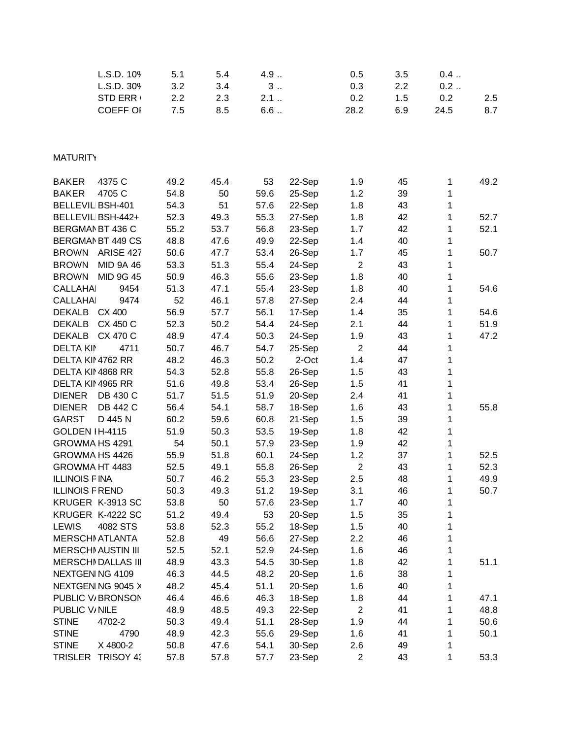| L.S.D. 109<br>L.S.D. 309         | 5.1<br>3.2 | 5.4<br>3.4 | 4.9<br>3 |        | 0.5<br>0.3     | 3.5<br>2.2 | 0.4<br>0.2   |      |
|----------------------------------|------------|------------|----------|--------|----------------|------------|--------------|------|
|                                  | 2.2        |            | 2.1      |        |                | 1.5        | 0.2          | 2.5  |
| <b>STD ERR</b>                   |            | 2.3        |          |        | 0.2            |            |              |      |
| <b>COEFF OI</b>                  | 7.5        | 8.5        | $6.6$    |        | 28.2           | 6.9        | 24.5         | 8.7  |
|                                  |            |            |          |        |                |            |              |      |
| <b>MATURITY</b>                  |            |            |          |        |                |            |              |      |
| <b>BAKER</b><br>4375 C           | 49.2       | 45.4       | 53       | 22-Sep | 1.9            | 45         | 1            | 49.2 |
| <b>BAKER</b><br>4705 C           | 54.8       | 50         | 59.6     | 25-Sep | 1.2            | 39         | 1            |      |
| <b>BELLEVIL BSH-401</b>          | 54.3       | 51         | 57.6     | 22-Sep | 1.8            | 43         | 1            |      |
| BELLEVIL BSH-442+                | 52.3       | 49.3       | 55.3     | 27-Sep | 1.8            | 42         | 1            | 52.7 |
| BERGMAN BT 436 C                 | 55.2       | 53.7       | 56.8     | 23-Sep | 1.7            | 42         | 1            | 52.1 |
| BERGMAN BT 449 CS                | 48.8       | 47.6       | 49.9     | 22-Sep | 1.4            | 40         | 1            |      |
| <b>BROWN</b><br>ARISE 427        | 50.6       | 47.7       | 53.4     | 26-Sep | 1.7            | 45         | 1            | 50.7 |
| MID 9A 46<br><b>BROWN</b>        | 53.3       | 51.3       | 55.4     | 24-Sep | $\overline{2}$ | 43         | 1            |      |
| MID 9G 45<br><b>BROWN</b>        | 50.9       | 46.3       | 55.6     | 23-Sep | 1.8            | 40         | 1            |      |
| <b>CALLAHAI</b><br>9454          | 51.3       | 47.1       | 55.4     | 23-Sep | 1.8            | 40         | 1            | 54.6 |
| <b>CALLAHAI</b><br>9474          | 52         | 46.1       | 57.8     | 27-Sep | 2.4            | 44         | 1            |      |
| DEKALB CX 400                    | 56.9       | 57.7       | 56.1     | 17-Sep | 1.4            | 35         | $\mathbf{1}$ | 54.6 |
| <b>DEKALB</b><br>CX 450 C        | 52.3       | 50.2       | 54.4     | 24-Sep | 2.1            | 44         | 1            | 51.9 |
| <b>DEKALB</b><br><b>CX 470 C</b> | 48.9       | 47.4       | 50.3     | 24-Sep | 1.9            | 43         | 1            | 47.2 |
| <b>DELTA KIN</b><br>4711         | 50.7       | 46.7       | 54.7     | 25-Sep | $\overline{2}$ | 44         | 1            |      |
| DELTA KII 4762 RR                | 48.2       | 46.3       | 50.2     | 2-Oct  | 1.4            | 47         | 1            |      |
| DELTA KII 4868 RR                | 54.3       | 52.8       | 55.8     | 26-Sep | 1.5            | 43         | 1            |      |
| DELTA KII 4965 RR                | 51.6       | 49.8       | 53.4     | 26-Sep | 1.5            | 41         | 1            |      |
| <b>DIENER</b><br>DB 430 C        | 51.7       | 51.5       | 51.9     | 20-Sep | 2.4            | 41         | 1            |      |
| DB 442 C<br><b>DIENER</b>        | 56.4       | 54.1       | 58.7     | 18-Sep | 1.6            | 43         | 1            | 55.8 |
| D 445 N<br><b>GARST</b>          | 60.2       | 59.6       | 60.8     | 21-Sep | 1.5            | 39         | 1            |      |
| GOLDEN IH-4115                   | 51.9       | 50.3       | 53.5     | 19-Sep | 1.8            | 42         | 1            |      |
| GROWMA HS 4291                   | 54         | 50.1       | 57.9     | 23-Sep | 1.9            | 42         | 1            |      |
| GROWMA HS 4426                   | 55.9       | 51.8       | 60.1     | 24-Sep | 1.2            | 37         | 1            | 52.5 |
| GROWMA HT 4483                   | 52.5       | 49.1       | 55.8     | 26-Sep | $\overline{2}$ | 43         | 1            | 52.3 |
| <b>ILLINOIS F INA</b>            | 50.7       | 46.2       | 55.3     | 23-Sep | 2.5            | 48         | 1            | 49.9 |
| <b>ILLINOIS F REND</b>           | 50.3       | 49.3       | 51.2     | 19-Sep | 3.1            | 46         | 1            | 50.7 |
| KRUGER K-3913 SC                 | 53.8       | 50         | 57.6     | 23-Sep | 1.7            | 40         | 1            |      |
| KRUGER K-4222 SC                 | 51.2       | 49.4       | 53       | 20-Sep | 1.5            | 35         | 1            |      |
| <b>LEWIS</b><br>4082 STS         | 53.8       | 52.3       | 55.2     | 18-Sep | 1.5            | 40         | 1            |      |
| <b>MERSCHI ATLANTA</b>           | 52.8       | 49         | 56.6     | 27-Sep | 2.2            | 46         | 1            |      |
| <b>MERSCHI AUSTIN III</b>        | 52.5       | 52.1       | 52.9     | 24-Sep | 1.6            | 46         | 1            |      |
| <b>MERSCHI DALLAS III</b>        | 48.9       | 43.3       | 54.5     | 30-Sep | 1.8            | 42         | 1            | 51.1 |
| NEXTGEN NG 4109                  | 46.3       | 44.5       | 48.2     | 20-Sep | 1.6            | 38         | 1            |      |
| NEXTGENING 9045 X                | 48.2       | 45.4       | 51.1     | 20-Sep | 1.6            | 40         | 1            |      |
| PUBLIC V/BRONSON                 | 46.4       | 46.6       | 46.3     | 18-Sep | 1.8            | 44         | 1            | 47.1 |
| PUBLIC V/NILE                    | 48.9       | 48.5       | 49.3     | 22-Sep | $\overline{2}$ | 41         | 1            | 48.8 |
| <b>STINE</b><br>4702-2           | 50.3       | 49.4       | 51.1     | 28-Sep | 1.9            | 44         | 1            | 50.6 |
| <b>STINE</b><br>4790             | 48.9       | 42.3       | 55.6     | 29-Sep | 1.6            | 41         | 1            | 50.1 |
| <b>STINE</b><br>X 4800-2         | 50.8       | 47.6       | 54.1     | 30-Sep | 2.6            | 49         | 1            |      |
| TRISLER TRISOY 4:                | 57.8       | 57.8       | 57.7     | 23-Sep | $\overline{2}$ | 43         | 1            | 53.3 |
|                                  |            |            |          |        |                |            |              |      |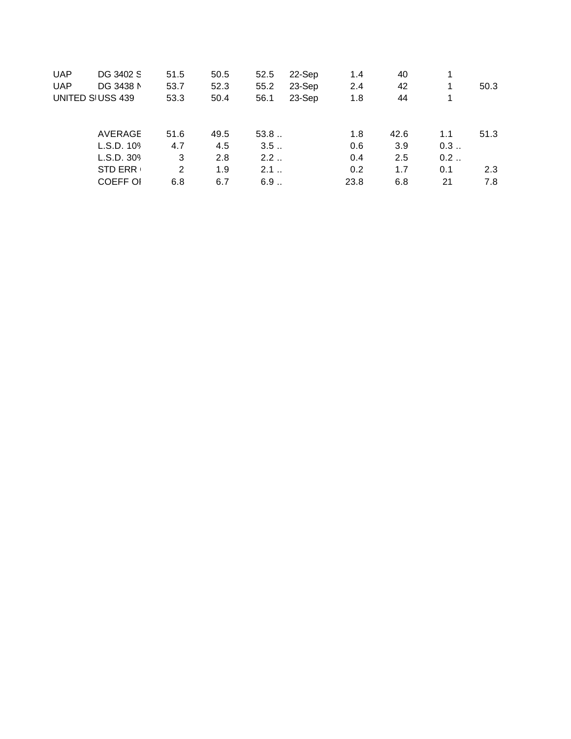| <b>UAP</b>       | DG 3402 S       | 51.5 | 50.5 | 52.5 | 22-Sep | 1.4  | 40   |     |      |
|------------------|-----------------|------|------|------|--------|------|------|-----|------|
| <b>UAP</b>       | DG 3438 N       | 53.7 | 52.3 | 55.2 | 23-Sep | 2.4  | 42   | 1   | 50.3 |
| UNITED SIUSS 439 |                 | 53.3 | 50.4 | 56.1 | 23-Sep | 1.8  | 44   |     |      |
|                  | AVERAGE         | 51.6 | 49.5 | 53.8 |        | 1.8  | 42.6 | 1.1 | 51.3 |
|                  | L.S.D. 109      | 4.7  | 4.5  | 3.5  |        | 0.6  | 3.9  | 0.3 |      |
|                  | L.S.D. 309      | 3    | 2.8  | 2.2  |        | 0.4  | 2.5  | 0.2 |      |
|                  | <b>STD ERR</b>  | 2    | 1.9  | 2.1  |        | 0.2  | 1.7  | 0.1 | 2.3  |
|                  | <b>COEFF OI</b> | 6.8  | 6.7  | 6.9  |        | 23.8 | 6.8  | 21  | 7.8  |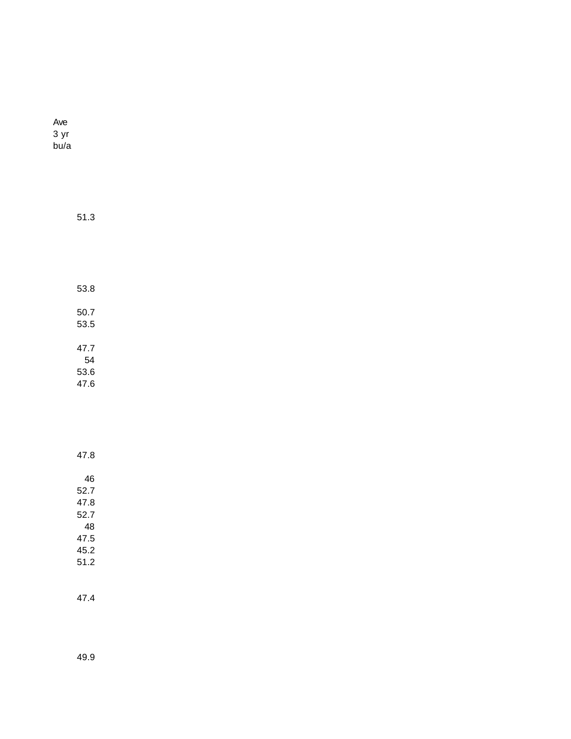Ave 3 yr bu/a

> 53.8 50.7 53.5 47.7 54 53.6

51.3

47.6

47.8 46 52.7 47.8 52.7 48 47.5 45.2 51.2

47.4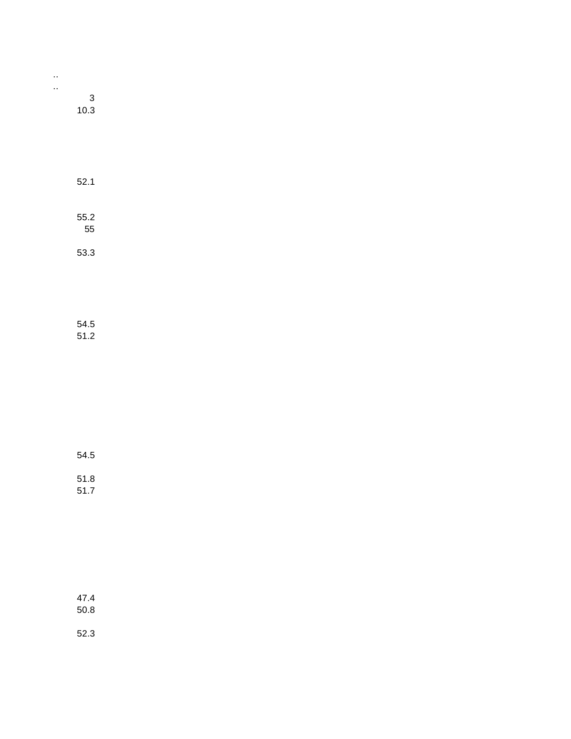| . . |      |
|-----|------|
|     | 3    |
|     | 10.3 |

| 52.1       |  |  |
|------------|--|--|
| 55.2<br>55 |  |  |
| 53.3       |  |  |
|            |  |  |

54.5 51.2

54.5

51.8 51.7

47.4 50.8

52.3